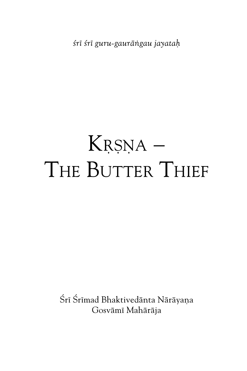*çré çré guru-gauräìgau jayataù*

# $K$ <sub>R</sub>șna – THE BUTTER THIEF

Śrī Śrīmad Bhaktivedānta Nārāyana Gosvämé Mahäräja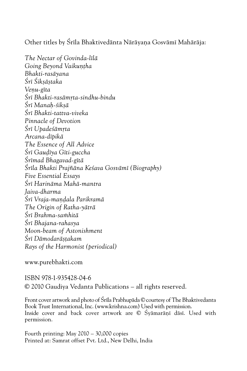Other titles by Śrīla Bhaktivedānta Nārāyana Gosvāmī Mahārāja:

*The Nectar of Govinda-lélä Going Beyond Vaikuntha Bhakti-rasäyana Çré Çikñäñtaka Veëu-géta Çré Bhakti-rasämåta-sindhu-bindu Çré Manaù-çikñä Çré Bhakti-tattva-viveka Pinnacle of Devotion*  $S$ rī Upade*śāmrta Arcana-dépikä The Essence of All Advice Çré Gauòéya Géti-guccha Çrémad Bhagavad-gétä Çréla Bhakti Prajïäna Keçava Gosvämé (Biography) Five Essential Essays Çré Harinäma Mahä-mantra Jaiva-dharma*  $S$ rī Vraja-mandala Parikramā *The Origin of Ratha-yäträ Çré Brahma-saàhitä Çré Bhajana-rahasya Moon-beam of Astonishment Çré Dämodaräñöakam Rays of the Harmonist (periodical)*

www.purebhakti.com

ISBN 978-1-935428-04-6 © 2010 Gaudiya Vedanta Publications – all rights reserved.

Front cover artwork and photo of Śrīla Prabhupāda © courtesy of The Bhaktivedanta Book Trust International, Inc. (www.krishna.com) Used with permission. Inside cover and back cover artwork are © Śyāmarānī dāsī. Used with permission.

Fourth printing: May 2010 – 30,000 copies Printed at: Samrat offset Pvt. Ltd., New Delhi, India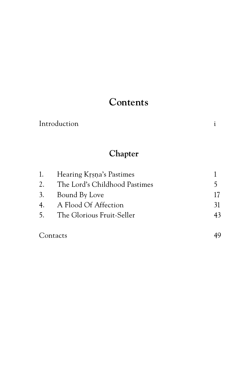# **Contents**

| Introduction |  |
|--------------|--|
|              |  |

#### **Chapter**

|    | 1. Hearing Krsna's Pastimes   |    |
|----|-------------------------------|----|
| 2. | The Lord's Childhood Pastimes | 5  |
|    | 3. Bound By Love              | 17 |
| 4. | A Flood Of Affection          | 31 |
|    | 5. The Glorious Fruit-Seller  | 43 |
|    |                               |    |

Contacts 49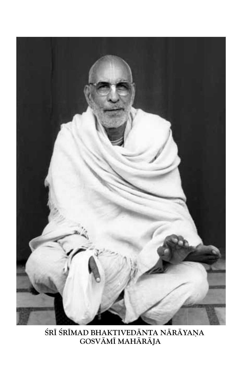

ŚRĪ ŚRĪMAD BHAKTIVEDĀNTA NĀRĀYAŅA **GosVämé Mahäräja**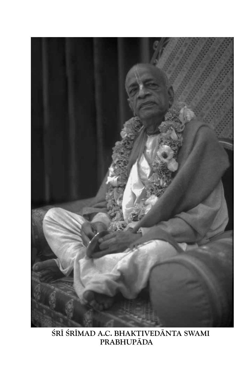

**Çré Çrémad A.C. Bhaktivedänta Swami Prabhupäda**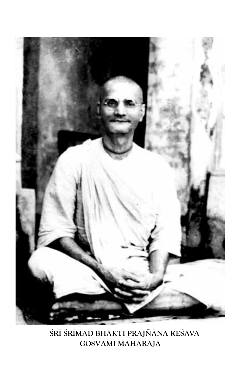

**Çré Çrémad Bhakti Prajïäna Keçava Gosvämé Mahäräja**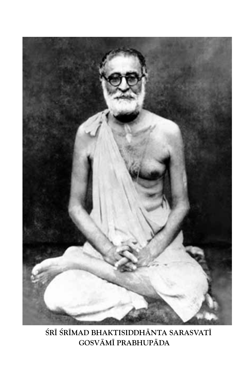

**Çré Çrémad BhaktiSiddhänta Sarasvaté Gosvämé Prabhupäda**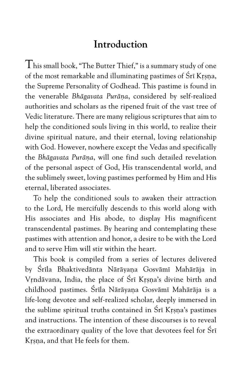### **Introduction**

 ${\rm T}$ his small book, "The Butter Thief," is a summary study of one of the most remarkable and illuminating pastimes of Śrī Krsna. the Supreme Personality of Godhead. This pastime is found in the venerable *Bhāgavata Purāna*, considered by self-realized authorities and scholars as the ripened fruit of the vast tree of Vedic literature. There are many religious scriptures that aim to help the conditioned souls living in this world, to realize their divine spiritual nature, and their eternal, loving relationship with God. However, nowhere except the Vedas and specifically the *Bhāgavata Purāna*, will one find such detailed revelation of the personal aspect of God, His transcendental world, and the sublimely sweet, loving pastimes performed by Him and His eternal, liberated associates.

To help the conditioned souls to awaken their attraction to the Lord, He mercifully descends to this world along with His associates and His abode, to display His magnificent transcendental pastimes. By hearing and contemplating these pastimes with attention and honor, a desire to be with the Lord and to serve Him will stir within the heart.

This book is compiled from a series of lectures delivered by Śrīla Bhaktivedānta Nārāyana Gosvāmī Mahārāja in Vrndāvana, India, the place of Śrī Krsna's divine birth and childhood pastimes. Śrīla Nārāyana Gosvāmī Mahārāja is a life-long devotee and self-realized scholar, deeply immersed in the sublime spiritual truths contained in Śrī Krsna's pastimes and instructions. The intention of these discourses is to reveal the extraordinary quality of the love that devotees feel for Śrī Krsna, and that He feels for them.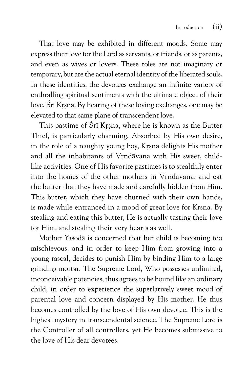That love may be exhibited in different moods. Some may express their love for the Lord as servants, or friends, or as parents, and even as wives or lovers. These roles are not imaginary or temporary, but are the actual eternal identity of the liberated souls. In these identities, the devotees exchange an infinite variety of enthralling spiritual sentiments with the ultimate object of their love, Śrī Krsna. By hearing of these loving exchanges, one may be elevated to that same plane of transcendent love.

This pastime of Śrī Krsna, where he is known as the Butter Thief, is particularly charming. Absorbed by His own desire, in the role of a naughty young boy, Krsna delights His mother and all the inhabitants of Vrndāvana with His sweet, childlike activities. One of His favorite pastimes is to stealthily enter into the homes of the other mothers in Vrndävana, and eat the butter that they have made and carefully hidden from Him. This butter, which they have churned with their own hands, is made while entranced in a mood of great love for Krsna. By stealing and eating this butter, He is actually tasting their love for Him, and stealing their very hearts as well.

Mother Yaçodä is concerned that her child is becoming too mischievous, and in order to keep Him from growing into a young rascal, decides to punish Him by binding Him to a large grinding mortar. The Supreme Lord, Who possesses unlimited, inconceivable potencies, thus agrees to be bound like an ordinary child, in order to experience the superlatively sweet mood of parental love and concern displayed by His mother. He thus becomes controlled by the love of His own devotee. This is the highest mystery in transcendental science. The Supreme Lord is the Controller of all controllers, yet He becomes submissive to the love of His dear devotees.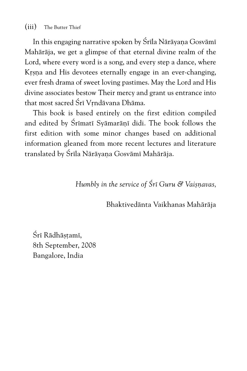In this engaging narrative spoken by Śrīla Nārāyana Gosvāmī Mahäräja, we get a glimpse of that eternal divine realm of the Lord, where every word is a song, and every step a dance, where Krsna and His devotees eternally engage in an ever-changing, ever fresh drama of sweet loving pastimes. May the Lord and His divine associates bestow Their mercy and grant us entrance into that most sacred Śrī Vrndāvana Dhāma.

This book is based entirely on the first edition compiled and edited by Śrīmatī Syāmarānī didi. The book follows the first edition with some minor changes based on additional information gleaned from more recent lectures and literature translated by Śrīla Nārāyana Gosvāmī Mahārāja.

*Humbly in the service of Śrī Guru & Vaisnavas,* 

Bhaktivedänta Vaikhanas Mahäräja

Śrī Rādhāstamī, 8th September, 2008 Bangalore, India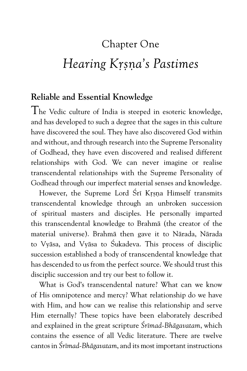# Chapter One

# *Hearing Kåñëa's Pastimes*

#### **Reliable and Essential Knowledge**

The Vedic culture of India is steeped in esoteric knowledge, and has developed to such a degree that the sages in this culture have discovered the soul. They have also discovered God within and without, and through research into the Supreme Personality of Godhead, they have even discovered and realised different relationships with God. We can never imagine or realise transcendental relationships with the Supreme Personality of Godhead through our imperfect material senses and knowledge.

However, the Supreme Lord Śrī Krsna Himself transmits transcendental knowledge through an unbroken succession of spiritual masters and disciples. He personally imparted this transcendental knowledge to Brahmä (the creator of the material universe). Brahmä then gave it to Närada, Närada to Vyäsa, and Vyäsa to Çukadeva. This process of disciplic succession established a body of transcendental knowledge that has descended to us from the perfect source. We should trust this disciplic succession and try our best to follow it.

What is God's transcendental nature? What can we know of His omnipotence and mercy? What relationship do we have with Him, and how can we realise this relationship and serve Him eternally? These topics have been elaborately described and explained in the great scripture *Çrémad-Bhägavatam*, which contains the essence of all Vedic literature. There are twelve cantos in *Çrémad-Bhägavatam*, and its most important instructions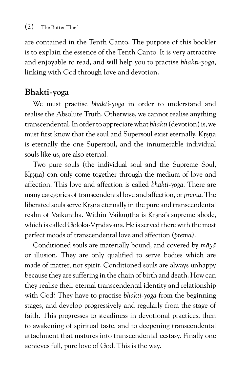are contained in the Tenth Canto. The purpose of this booklet is to explain the essence of the Tenth Canto. It is very attractive and enjoyable to read, and will help you to practise *bhakti-yoga*, linking with God through love and devotion.

#### **Bhakti-yoga**

We must practise *bhakti-yoga* in order to understand and realise the Absolute Truth. Otherwise, we cannot realise anything transcendental. In order to appreciate what *bhakti* (devotion) is, we must first know that the soul and Supersoul exist eternally. Krsna is eternally the one Supersoul, and the innumerable individual souls like us, are also eternal.

Two pure souls (the individual soul and the Supreme Soul, Krsna) can only come together through the medium of love and affection. This love and affection is called *bhakti-yoga*. There are many categories of transcendental love and affection, or *prema*. The liberated souls serve Krsna eternally in the pure and transcendental realm of Vaikuntha. Within Vaikuntha is Krsna's supreme abode, which is called Goloka-Vrndāvana. He is served there with the most perfect moods of transcendental love and affection (*prema)*.

Conditioned souls are materially bound, and covered by *mäyä* or illusion. They are only qualified to serve bodies which are made of matter, not spirit. Conditioned souls are always unhappy because they are suffering in the chain of birth and death. How can they realise their eternal transcendental identity and relationship with God? They have to practise *bhakti-yoga* from the beginning stages, and develop progressively and regularly from the stage of faith. This progresses to steadiness in devotional practices, then to awakening of spiritual taste, and to deepening transcendental attachment that matures into transcendental ecstasy. Finally one achieves full, pure love of God. This is the way.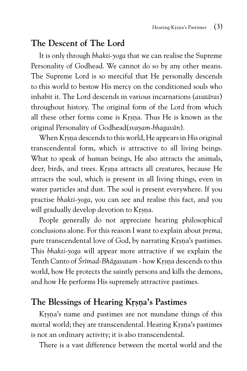#### **The Descent of The Lord**

It is only through *bhakti-yoga* that we can realise the Supreme Personality of Godhead. We cannot do so by any other means. The Supreme Lord is so merciful that He personally descends to this world to bestow His mercy on the conditioned souls who inhabit it. The Lord descends in various incarnations (*avatäras*) throughout history. The original form of the Lord from which all these other forms come is Krsna. Thus He is known as the original Personality of Godhead(*svayam-bhagavän*).

When Krsna descends to this world, He appears in His original transcendental form, which is attractive to all living beings. What to speak of human beings, He also attracts the animals, deer, birds, and trees. Krsna attracts all creatures, because He attracts the soul, which is present in all living things, even in water particles and dust. The soul is present everywhere. If you practise *bhakti-yoga*, you can see and realise this fact, and you will gradually develop devotion to Krsna.

People generally do not appreciate hearing philosophical conclusions alone. For this reason I want to explain about *prema,* pure transcendental love of God, by narrating Krsna's pastimes. This *bhakti-yoga* will appear more attractive if we explain the Tenth Canto of *Śrīmad-Bhāgavatam* - how Krsna descends to this world, how He protects the saintly persons and kills the demons, and how He performs His supremely attractive pastimes.

#### The Blessings of Hearing Krsna's Pastimes

Krsna's name and pastimes are not mundane things of this mortal world; they are transcendental. Hearing Krsna's pastimes is not an ordinary activity; it is also transcendental.

There is a vast difference between the mortal world and the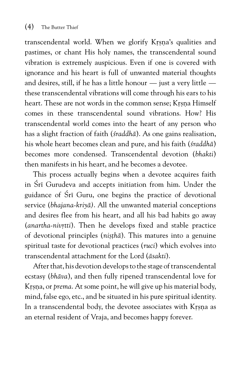transcendental world. When we glorify Krsna's qualities and pastimes, or chant His holy names, the transcendental sound vibration is extremely auspicious. Even if one is covered with ignorance and his heart is full of unwanted material thoughts and desires, still, if he has a little honour — just a very little these transcendental vibrations will come through his ears to his heart. These are not words in the common sense; Krsna Himself comes in these transcendental sound vibrations. How? His transcendental world comes into the heart of any person who has a slight fraction of faith (*çraddhä*). As one gains realisation, his whole heart becomes clean and pure, and his faith (*çraddhä*) becomes more condensed. Transcendental devotion (*bhakti*) then manifests in his heart, and he becomes a devotee.

This process actually begins when a devotee acquires faith in Śrī Gurudeva and accepts initiation from him. Under the guidance of Sri Guru, one begins the practice of devotional service (*bhajana-kriyä)*. All the unwanted material conceptions and desires flee from his heart, and all his bad habits go away (*anartha-nivrtti*). Then he develops fixed and stable practice of devotional principles (*nisthā*). This matures into a genuine spiritual taste for devotional practices (*ruci*) which evolves into transcendental attachment for the Lord (*äsakti*).

After that, his devotion develops to the stage of transcendental ecstasy (*bhäva*), and then fully ripened transcendental love for Krsna, or *prema*. At some point, he will give up his material body, mind, false ego, etc., and be situated in his pure spiritual identity. In a transcendental body, the devotee associates with Krsna as an eternal resident of Vraja, and becomes happy forever.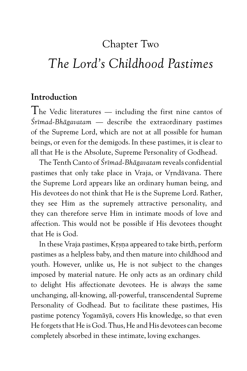### Chapter Two

# *The Lord's Childhood Pastimes*

#### **Introduction**

The Vedic literatures — including the first nine cantos of *Çrémad-Bhägavatam* — describe the extraordinary pastimes of the Supreme Lord, which are not at all possible for human beings, or even for the demigods. In these pastimes, it is clear to all that He is the Absolute, Supreme Personality of Godhead.

The Tenth Canto of *Çrémad-Bhägavatam* reveals confidential pastimes that only take place in Vraja, or Vrndävana. There the Supreme Lord appears like an ordinary human being, and His devotees do not think that He is the Supreme Lord. Rather, they see Him as the supremely attractive personality, and they can therefore serve Him in intimate moods of love and affection. This would not be possible if His devotees thought that He is God.

In these Vraja pastimes, Krsna appeared to take birth, perform pastimes as a helpless baby, and then mature into childhood and youth. However, unlike us, He is not subject to the changes imposed by material nature. He only acts as an ordinary child to delight His affectionate devotees. He is always the same unchanging, all-knowing, all-powerful, transcendental Supreme Personality of Godhead. But to facilitate these pastimes, His pastime potency Yogamäyä, covers His knowledge, so that even He forgets that He is God. Thus, He and His devotees can become completely absorbed in these intimate, loving exchanges.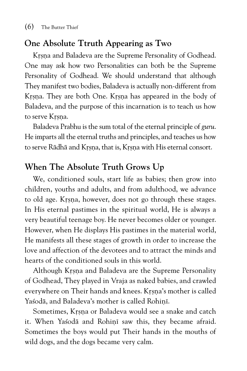#### **One Absolute Ttruth Appearing as Two**

Krsna and Baladeva are the Supreme Personality of Godhead. One may ask how two Personalities can both be the Supreme Personality of Godhead. We should understand that although They manifest two bodies, Baladeva is actually non-different from Krsna. They are both One. Krsna has appeared in the body of Baladeva, and the purpose of this incarnation is to teach us how to serve Krsna.

Baladeva Prabhu is the sum total of the eternal principle of *guru*. He imparts all the eternal truths and principles, and teaches us how to serve Rādhā and Krsna, that is, Krsna with His eternal consort.

#### **When The Absolute Truth Grows Up**

We, conditioned souls, start life as babies; then grow into children, youths and adults, and from adulthood, we advance to old age. Krsna, however, does not go through these stages. In His eternal pastimes in the spiritual world, He is always a very beautiful teenage boy. He never becomes older or younger. However, when He displays His pastimes in the material world, He manifests all these stages of growth in order to increase the love and affection of the devotees and to attract the minds and hearts of the conditioned souls in this world.

Although Krsna and Baladeva are the Supreme Personality of Godhead, They played in Vraja as naked babies, and crawled everywhere on Their hands and knees. Krsna's mother is called Yasodā, and Baladeva's mother is called Rohinī.

Sometimes, Krsna or Baladeva would see a snake and catch it. When Yasoda and Rohini saw this, they became afraid. Sometimes the boys would put Their hands in the mouths of wild dogs, and the dogs became very calm.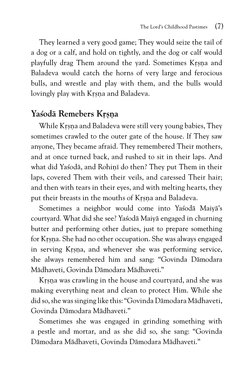They learned a very good game; They would seize the tail of a dog or a calf, and hold on tightly, and the dog or calf would playfully drag Them around the yard. Sometimes Krsna and Baladeva would catch the horns of very large and ferocious bulls, and wrestle and play with them, and the bulls would lovingly play with Krsna and Baladeva.

#### Yaśodā Remebers Krsna

While Krsna and Baladeva were still very young babies, They sometimes crawled to the outer gate of the house. If They saw anyone, They became afraid. They remembered Their mothers, and at once turned back, and rushed to sit in their laps. And what did Yasodā, and Rohinī do then? They put Them in their laps, covered Them with their veils, and caressed Their hair; and then with tears in their eyes, and with melting hearts, they put their breasts in the mouths of Krsna and Baladeva.

Sometimes a neighbor would come into Yasodā Maiyā's courtyard. What did she see? Yaçodä Maiyä engaged in churning butter and performing other duties, just to prepare something for Krsna. She had no other occupation. She was always engaged in serving Krsna, and whenever she was performing service, she always remembered him and sang: "Govinda Dämodara Mädhaveti, Govinda Dämodara Mädhaveti."

Krsna was crawling in the house and courtyard, and she was making everything neat and clean to protect Him. While she did so, she was singing like this: "Govinda Dämodara Mädhaveti, Govinda Dämodara Mädhaveti."

Sometimes she was engaged in grinding something with a pestle and mortar, and as she did so, she sang: "Govinda Dämodara Mädhaveti, Govinda Dämodara Mädhaveti."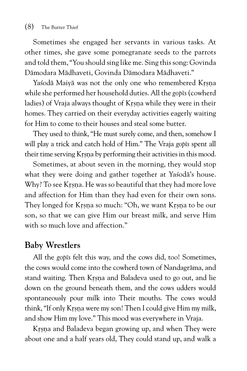Sometimes she engaged her servants in various tasks. At other times, she gave some pomegranate seeds to the parrots and told them, "You should sing like me. Sing this song: Govinda Dämodara Mädhaveti, Govinda Dämodara Mädhaveti."

Yasodā Maiyā was not the only one who remembered Krsna while she performed her household duties. All the *gopés* (cowherd ladies) of Vraja always thought of Krsna while they were in their homes. They carried on their everyday activities eagerly waiting for Him to come to their houses and steal some butter.

They used to think, "He must surely come, and then, somehow I will play a trick and catch hold of Him." The Vraja *gopés* spent all their time serving Krsna by performing their activities in this mood.

Sometimes, at about seven in the morning, they would stop what they were doing and gather together at Yasoda's house. Why? To see Krsna. He was so beautiful that they had more love and affection for Him than they had even for their own sons. They longed for Krsna so much: "Oh, we want Krsna to be our son, so that we can give Him our breast milk, and serve Him with so much love and affection."

#### **Baby Wrestlers**

All the *gopés* felt this way, and the cows did, too! Sometimes, the cows would come into the cowherd town of Nandagräma, and stand waiting. Then Krsna and Baladeva used to go out, and lie down on the ground beneath them, and the cows udders would spontaneously pour milk into Their mouths. The cows would think, "If only Krsna were my son! Then I could give Him my milk, and show Him my love." This mood was everywhere in Vraja.

Krsna and Baladeva began growing up, and when They were about one and a half years old, They could stand up, and walk a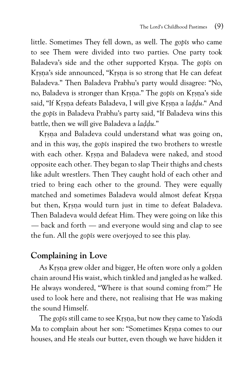little. Sometimes They fell down, as well. The *gop* is who came to see Them were divided into two parties. One party took Baladeva's side and the other supported Krsna. The *gop*<sup>15</sup> on Krsna's side announced, "Krsna is so strong that He can defeat Baladeva." Then Baladeva Prabhu's party would disagree: "No, no, Baladeva is stronger than Kåñëa." The *gopés* on Kåñëa's side said, "If Krsna defeats Baladeva, I will give Krsna a *laddu*." And the *gopés* in Baladeva Prabhu's party said, "If Baladeva wins this battle, then we will give Baladeva a *laddu*."

Krsna and Baladeva could understand what was going on, and in this way, the *gopés* inspired the two brothers to wrestle with each other. Krsna and Baladeva were naked, and stood opposite each other. They began to slap Their thighs and chests like adult wrestlers. Then They caught hold of each other and tried to bring each other to the ground. They were equally matched and sometimes Baladeva would almost defeat Krsna but then, Krsna would turn just in time to defeat Baladeva. Then Baladeva would defeat Him. They were going on like this — back and forth — and everyone would sing and clap to see the fun. All the *gopés* were overjoyed to see this play.

#### **Complaining in Love**

As Krsna grew older and bigger, He often wore only a golden chain around His waist, which tinkled and jangled as he walked. He always wondered, "Where is that sound coming from?" He used to look here and there, not realising that He was making the sound Himself.

The *gopis* still came to see Krsna, but now they came to Yasoda Ma to complain about her son: "Sometimes Krsna comes to our houses, and He steals our butter, even though we have hidden it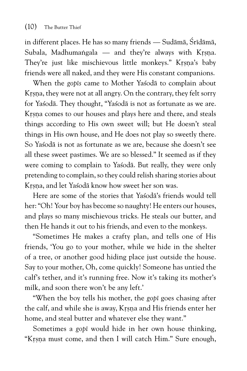in different places. He has so many friends — Sudāmā, Śrīdāmā, Subala, Madhumangala — and they're always with Krsna. They're just like mischievous little monkeys." Krsna's baby friends were all naked, and they were His constant companions.

When the *gopés* came to Mother Yaçodä to complain about Krsna, they were not at all angry. On the contrary, they felt sorry for Yaçodä. They thought, "Yaçodä is not as fortunate as we are. Krsna comes to our houses and plays here and there, and steals things according to His own sweet will; but He doesn't steal things in His own house, and He does not play so sweetly there. So Yasodā is not as fortunate as we are, because she doesn't see all these sweet pastimes. We are so blessed." It seemed as if they were coming to complain to Yasoda. But really, they were only pretending to complain, so they could relish sharing stories about Krsna, and let Yasodā know how sweet her son was.

Here are some of the stories that Yaçodä's friends would tell her: "Oh! Your boy has become so naughty! He enters our houses, and plays so many mischievous tricks. He steals our butter, and then He hands it out to his friends, and even to the monkeys.

"Sometimes He makes a crafty plan, and tells one of His friends, 'You go to your mother, while we hide in the shelter of a tree, or another good hiding place just outside the house. Say to your mother, Oh, come quickly! Someone has untied the calf's tether, and it's running free. Now it's taking its mother's milk, and soon there won't be any left.'

"When the boy tells his mother, the *gopé* goes chasing after the calf, and while she is away, Krsna and His friends enter her home, and steal butter and whatever else they want."

Sometimes a *gopé* would hide in her own house thinking, "Krsna must come, and then I will catch Him." Sure enough,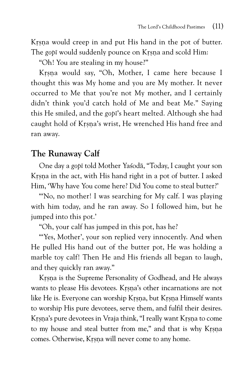Krsna would creep in and put His hand in the pot of butter. The gopi would suddenly pounce on Krsna and scold Him:

"Oh! You are stealing in my house?"

Krsna would say, "Oh, Mother, I came here because I thought this was My home and you are My mother. It never occurred to Me that you're not My mother, and I certainly didn't think you'd catch hold of Me and beat Me." Saying this He smiled, and the *gopé*'s heart melted. Although she had caught hold of Krsna's wrist, He wrenched His hand free and ran away.

#### **The Runaway Calf**

One day a *gopé* told Mother Yaçodä, "Today, I caught your son Krsna in the act, with His hand right in a pot of butter. I asked Him, 'Why have You come here? Did You come to steal butter?'

"'No, no mother! I was searching for My calf. I was playing with him today, and he ran away. So I followed him, but he jumped into this pot.'

"Oh, your calf has jumped in this pot, has he?

"'Yes, Mother', your son replied very innocently. And when He pulled His hand out of the butter pot, He was holding a marble toy calf! Then He and His friends all began to laugh, and they quickly ran away."

Krsna is the Supreme Personality of Godhead, and He always wants to please His devotees. Krsna's other incarnations are not like He is. Everyone can worship Krsna, but Krsna Himself wants to worship His pure devotees, serve them, and fulfil their desires. Krsna's pure devotees in Vraja think, "I really want Krsna to come to my house and steal butter from me," and that is why Krsna comes. Otherwise, Krsna will never come to any home.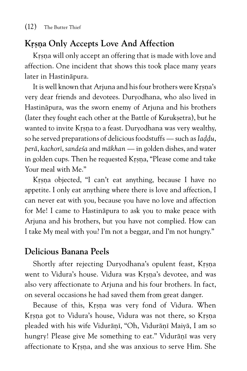#### **Krsna Only Accepts Love And Affection**

Krsna will only accept an offering that is made with love and affection. One incident that shows this took place many years later in Hastinäpura.

It is well known that Arjuna and his four brothers were Krsna's very dear friends and devotees. Duryodhana, who also lived in Hastinäpura, was the sworn enemy of Arjuna and his brothers (later they fought each other at the Battle of Kuruksetra), but he wanted to invite Krsna to a feast. Duryodhana was very wealthy, so he served preparations of delicious foodstuffs — such as *Iaddu*, *perä*, *kachoré*, *sandeça* and *mäkhan* — in golden dishes, and water in golden cups. Then he requested Krsna, "Please come and take Your meal with Me."

Krsna objected, "I can't eat anything, because I have no appetite. I only eat anything where there is love and affection, I can never eat with you, because you have no love and affection for Me! I came to Hastinäpura to ask you to make peace with Arjuna and his brothers, but you have not complied. How can I take My meal with you? I'm not a beggar, and I'm not hungry."

#### **Delicious Banana Peels**

Shortly after rejecting Duryodhana's opulent feast, Krsna went to Vidura's house. Vidura was Krsna's devotee, and was also very affectionate to Arjuna and his four brothers. In fact, on several occasions he had saved them from great danger.

Because of this, Krsna was very fond of Vidura. When Krsna got to Vidura's house, Vidura was not there, so Krsna pleaded with his wife Vidurānī, "Oh, Vidurānī Maiyā, I am so hungry! Please give Me something to eat." Vidurānī was very affectionate to Krsna, and she was anxious to serve Him. She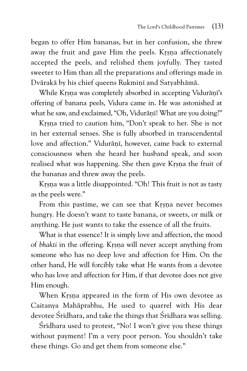began to offer Him bananas, but in her confusion, she threw away the fruit and gave Him the peels. Krsna affectionately accepted the peels, and relished them joyfully. They tasted sweeter to Him than all the preparations and offerings made in Dvārakā by his chief queens Rukminī and Satyabhāmā.

While Krsna was completely absorbed in accepting Vidurānī's offering of banana peels, Vidura came in. He was astonished at what he saw, and exclaimed, "Oh, Vidurānī! What are you doing?"

Krsna tried to caution him, "Don't speak to her. She is not in her external senses. She is fully absorbed in transcendental love and affection." Vidurānī, however, came back to external consciousness when she heard her husband speak, and soon realised what was happening. She then gave Krsna the fruit of the bananas and threw away the peels.

Krsna was a little disappointed. "Oh! This fruit is not as tasty as the peels were."

From this pastime, we can see that Krsna never becomes hungry. He doesn't want to taste banana, or sweets, or milk or anything. He just wants to take the essence of all the fruits.

What is that essence? It is simply love and affection, the mood of *bhakti* in the offering. Krsna will never accept anything from someone who has no deep love and affection for Him. On the other hand, He will forcibly take what He wants from a devotee who has love and affection for Him, if that devotee does not give Him enough.

When Krsna appeared in the form of His own devotee as Caitanya Mahäprabhu, He used to quarrel with His dear devotee Śrīdhara, and take the things that Śrīdhara was selling.

 $\overline{S}$ rīdhara used to protest, "No! I won't give you these things without payment! I'm a very poor person. You shouldn't take these things. Go and get them from someone else."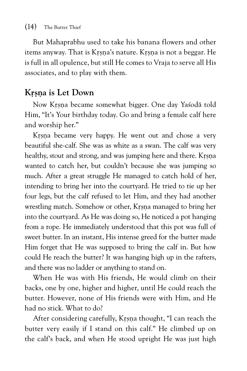But Mahaprabhu used to take his banana flowers and other items anyway. That is Krsna's nature. Krsna is not a beggar. He is full in all opulence, but still He comes to Vraja to serve all His associates, and to play with them.

#### **Krsna** is Let Down

Now Krsna became somewhat bigger. One day Yasodā told Him, "It's Your birthday today. Go and bring a female calf here and worship her."

Krsna became very happy. He went out and chose a very beautiful she-calf. She was as white as a swan. The calf was very healthy, stout and strong, and was jumping here and there. Krsna wanted to catch her, but couldn't because she was jumping so much. After a great struggle He managed to catch hold of her, intending to bring her into the courtyard. He tried to tie up her four legs, but the calf refused to let Him, and they had another wrestling match. Somehow or other, Krsna managed to bring her into the courtyard. As He was doing so, He noticed a pot hanging from a rope. He immediately understood that this pot was full of sweet butter. In an instant, His intense greed for the butter made Him forget that He was supposed to bring the calf in. But how could He reach the butter? It was hanging high up in the rafters, and there was no ladder or anything to stand on.

When He was with His friends, He would climb on their backs, one by one, higher and higher, until He could reach the butter. However, none of His friends were with Him, and He had no stick. What to do?

After considering carefully, Krsna thought, "I can reach the butter very easily if I stand on this calf." He climbed up on the calf's back, and when He stood upright He was just high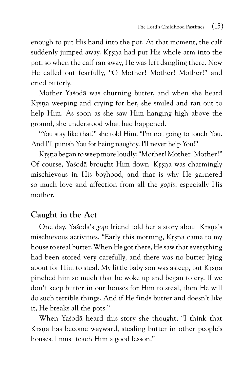enough to put His hand into the pot. At that moment, the calf suddenly jumped away. Krsna had put His whole arm into the pot, so when the calf ran away, He was left dangling there. Now He called out fearfully, "O Mother! Mother! Mother!" and cried bitterly.

Mother Yaçodä was churning butter, and when she heard Krsna weeping and crying for her, she smiled and ran out to help Him. As soon as she saw Him hanging high above the ground, she understood what had happened.

"You stay like that!" she told Him. "I'm not going to touch You. And I'll punish You for being naughty. I'll never help You!"

Krsna began to weep more loudly: "Mother! Mother! Mother!" Of course, Yasodā brought Him down. Krsna was charmingly mischievous in His boyhood, and that is why He garnered so much love and affection from all the *gopés*, especially His mother.

#### **Caught in the Act**

One day, Yasoda's gopi friend told her a story about Krsna's mischievous activities. "Early this morning, Krsna came to my house to steal butter. When He got there, He saw that everything had been stored very carefully, and there was no butter lying about for Him to steal. My little baby son was asleep, but Krsna pinched him so much that he woke up and began to cry. If we don't keep butter in our houses for Him to steal, then He will do such terrible things. And if He finds butter and doesn't like it, He breaks all the pots."

When Yaçodä heard this story she thought, "I think that Krsna has become wayward, stealing butter in other people's houses. I must teach Him a good lesson."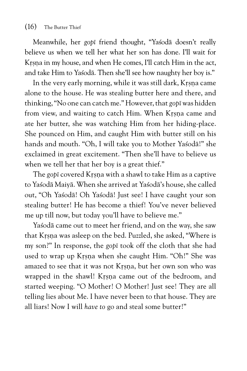Meanwhile, her *gopé* friend thought, "Yaçodä doesn't really believe us when we tell her what her son has done. I'll wait for Krsna in my house, and when He comes, I'll catch Him in the act, and take Him to Yaçodä. Then she'll see how naughty her boy is."

In the very early morning, while it was still dark, Krsna came alone to the house. He was stealing butter here and there, and thinking, "No one can catch me." However, that *gopé* was hidden from view, and waiting to catch Him. When Krsna came and ate her butter, she was watching Him from her hiding-place. She pounced on Him, and caught Him with butter still on his hands and mouth. "Oh, I will take you to Mother Yasoda!" she exclaimed in great excitement. "Then she'll have to believe us when we tell her that her boy is a great thief."

The *gop*<sub>*i*</sub> covered Krsna with a shawl to take Him as a captive to Yaçodä Maiyä. When she arrived at Yaçodä's house, she called out, "Oh Yaçodä! Oh Yaçodä! Just see! I have caught your son stealing butter! He has become a thief! You've never believed me up till now, but today you'll have to believe me."

Yasoda came out to meet her friend, and on the way, she saw that Krsna was asleep on the bed. Puzzled, she asked, "Where is my son?" In response, the *gopé* took off the cloth that she had used to wrap up Krsna when she caught Him. "Oh!" She was amazed to see that it was not Krsna, but her own son who was wrapped in the shawl! Krsna came out of the bedroom, and started weeping. "O Mother! O Mother! Just see! They are all telling lies about Me. I have never been to that house. They are all liars! Now I will *have to* go and steal some butter!"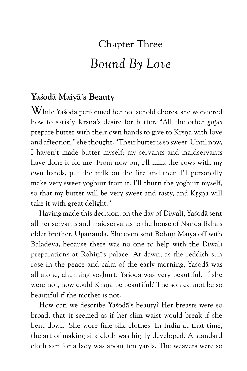# Chapter Three *Bound By Love*

#### **Yaçodä Maiyä's Beauty**

While Yaçodä performed her household chores, she wondered how to satisfy Krsna's desire for butter. "All the other *gopis* prepare butter with their own hands to give to Krsna with love and affection," she thought. "Their butter is so sweet. Until now, I haven't made butter myself; my servants and maidservants have done it for me. From now on, I'll milk the cows with my own hands, put the milk on the fire and then I'll personally make very sweet yoghurt from it. I'll churn the yoghurt myself, so that my butter will be very sweet and tasty, and Krsna will take it with great delight."

Having made this decision, on the day of Diwali, Yasoda sent all her servants and maidservants to the house of Nanda Bäbä's older brother, Upananda. She even sent Rohinī Maiyā off with Baladeva, because there was no one to help with the Diwali preparations at Rohini's palace. At dawn, as the reddish sun rose in the peace and calm of the early morning, Yaçodä was all alone, churning yoghurt. Yaçodä was very beautiful. If she were not, how could Krsna be beautiful? The son cannot be so beautiful if the mother is not.

How can we describe Yaçodä's beauty? Her breasts were so broad, that it seemed as if her slim waist would break if she bent down. She wore fine silk clothes. In India at that time, the art of making silk cloth was highly developed. A standard cloth sari for a lady was about ten yards. The weavers were so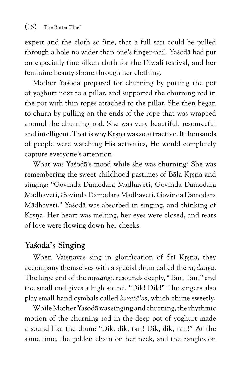expert and the cloth so fine, that a full sari could be pulled through a hole no wider than one's finger-nail. Yaçodä had put on especially fine silken cloth for the Diwali festival, and her feminine beauty shone through her clothing.

Mother Yaçodä prepared for churning by putting the pot of yoghurt next to a pillar, and supported the churning rod in the pot with thin ropes attached to the pillar. She then began to churn by pulling on the ends of the rope that was wrapped around the churning rod. She was very beautiful, resourceful and intelligent. That is why Krsna was so attractive. If thousands of people were watching His activities, He would completely capture everyone's attention.

What was Yaçodä's mood while she was churning? She was remembering the sweet childhood pastimes of Bāla Krsna and singing: "Govinda Dämodara Mädhaveti, Govinda Dämodara Mädhaveti, Govinda Dämodara Mädhaveti, Govinda Dämodara Mädhaveti." Yaçodä was absorbed in singing, and thinking of Krsna. Her heart was melting, her eyes were closed, and tears of love were flowing down her cheeks.

#### **Yaçodä's Singing**

When Vaisnavas sing in glorification of Śrī Krsna, they accompany themselves with a special drum called the *mrdanga*. The large end of the *mrdanga* resounds deeply, "Tan! Tan!" and the small end gives a high sound, "Dik! Dik!" The singers also play small hand cymbals called *karatälas*, which chime sweetly.

While Mother Yaçodä was singing and churning, the rhythmic motion of the churning rod in the deep pot of yoghurt made a sound like the drum: "Dik, dik, tan! Dik, dik, tan!" At the same time, the golden chain on her neck, and the bangles on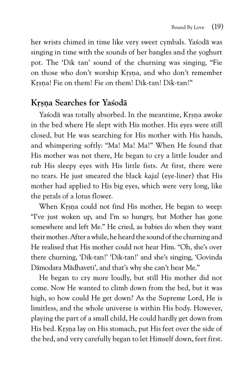her wrists chimed in time like very sweet cymbals. Yaçodä was singing in time with the sounds of her bangles and the yoghurt pot. The 'Dik tan' sound of the churning was singing, "Fie on those who don't worship Krsna, and who don't remember Krsna! Fie on them! Fie on them! Dik-tan! Dik-tan!"

#### **Kåñëa Searches for Yaçodä**

Yaśodā was totally absorbed. In the meantime, Krsna awoke in the bed where He slept with His mother. His eyes were still closed, but He was searching for His mother with His hands, and whimpering softly: "Ma! Ma! Ma!" When He found that His mother was not there, He began to cry a little louder and rub His sleepy eyes with His little fists. At first, there were no tears. He just smeared the black *kajal* (eye-liner) that His mother had applied to His big eyes, which were very long, like the petals of a lotus flower.

When Krsna could not find His mother, He began to weep: "I've just woken up, and I'm so hungry, but Mother has gone somewhere and left Me." He cried, as babies do when they want their mother. After a while, he heard the sound of the churning and He realised that His mother could not hear Him. "Oh, she's over there churning, 'Dik-tan!' 'Dik-tan!' and she's singing, 'Govinda Dämodara Mädhaveti', and that's why she can't hear Me."

He began to cry more loudly, but still His mother did not come. Now He wanted to climb down from the bed, but it was high, so how could He get down? As the Supreme Lord, He is limitless, and the whole universe is within His body. However, playing the part of a small child, He could hardly get down from His bed. Krsna lay on His stomach, put His feet over the side of the bed, and very carefully began to let Himself down, feet first.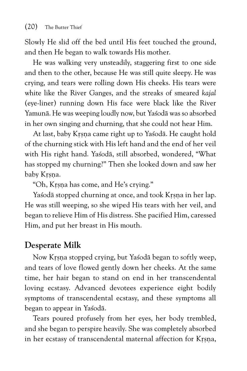Slowly He slid off the bed until His feet touched the ground, and then He began to walk towards His mother.

He was walking very unsteadily, staggering first to one side and then to the other, because He was still quite sleepy. He was crying, and tears were rolling down His cheeks. His tears were white like the River Ganges, and the streaks of smeared *kajal* (eye-liner) running down His face were black like the River Yamunä. He was weeping loudly now, but Yaçodä was so absorbed in her own singing and churning, that she could not hear Him.

At last, baby Krsna came right up to Yasodā. He caught hold of the churning stick with His left hand and the end of her veil with His right hand. Yaçodä, still absorbed, wondered, "What has stopped my churning?" Then she looked down and saw her baby Krsna.

"Oh, Krsna has come, and He's crying."

Yasodā stopped churning at once, and took Krsna in her lap. He was still weeping, so she wiped His tears with her veil, and began to relieve Him of His distress. She pacified Him, caressed Him, and put her breast in His mouth.

#### **Desperate Milk**

Now Krsna stopped crying, but Yasodā began to softly weep, and tears of love flowed gently down her cheeks. At the same time, her hair began to stand on end in her transcendental loving ecstasy. Advanced devotees experience eight bodily symptoms of transcendental ecstasy, and these symptoms all began to appear in Yaçodä.

Tears poured profusely from her eyes, her body trembled, and she began to perspire heavily. She was completely absorbed in her ecstasy of transcendental maternal affection for Krsna,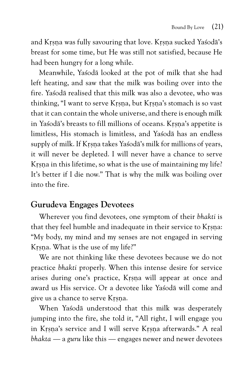and Krsna was fully savouring that love. Krsna sucked Yasoda's breast for some time, but He was still not satisfied, because He had been hungry for a long while.

Meanwhile, Yaçodä looked at the pot of milk that she had left heating, and saw that the milk was boiling over into the fire. Yaçodä realised that this milk was also a devotee, who was thinking, "I want to serve Krsna, but Krsna's stomach is so vast that it can contain the whole universe, and there is enough milk in Yasodā's breasts to fill millions of oceans. Krsna's appetite is limitless, His stomach is limitless, and Yaçodä has an endless supply of milk. If Krsna takes Yasodā's milk for millions of years, it will never be depleted. I will never have a chance to serve Krsna in this lifetime, so what is the use of maintaining my life? It's better if I die now." That is why the milk was boiling over into the fire.

#### **Gurudeva Engages Devotees**

Wherever you find devotees, one symptom of their *bhakti* is that they feel humble and inadequate in their service to Krsna: "My body, my mind and my senses are not engaged in serving Krsna. What is the use of my life?"

We are not thinking like these devotees because we do not practice *bhakti* properly. When this intense desire for service arises during one's practice, Krsna will appear at once and award us His service. Or a devotee like Yaçodä will come and give us a chance to serve Krsna.

When Yasoda understood that this milk was desperately jumping into the fire, she told it, "All right, I will engage you in Krsna's service and I will serve Krsna afterwards." A real *bhakta* — a *guru* like this — engages newer and newer devotees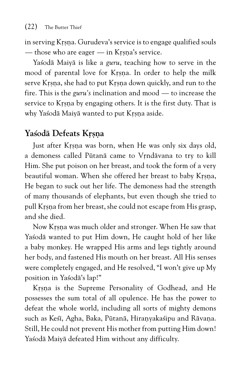in serving Krsna. Gurudeva's service is to engage qualified souls — those who are eager — in Krsna's service.

Yaçodä Maiyä is like a *guru*, teaching how to serve in the mood of parental love for Krsna. In order to help the milk serve Krsna, she had to put Krsna down quickly, and run to the fire. This is the *guru's* inclination and mood — to increase the service to Krsna by engaging others. It is the first duty. That is why Yasodā Maiyā wanted to put Krsna aside.

#### Yaśodā Defeats Krsna

Just after Krsna was born, when He was only six days old, a demoness called Pūtanā came to Vrndāvana to try to kill Him. She put poison on her breast, and took the form of a very beautiful woman. When she offered her breast to baby Krsna, He began to suck out her life. The demoness had the strength of many thousands of elephants, but even though she tried to pull Krsna from her breast, she could not escape from His grasp, and she died.

Now Krsna was much older and stronger. When He saw that Yasodā wanted to put Him down, He caught hold of her like a baby monkey. He wrapped His arms and legs tightly around her body, and fastened His mouth on her breast. All His senses were completely engaged, and He resolved, "I won't give up My position in Yaçodä's lap!"

Krsna is the Supreme Personality of Godhead, and He possesses the sum total of all opulence. He has the power to defeat the whole world, including all sorts of mighty demons such as Kesī, Agha, Baka, Pūtanā, Hiranyakasipu and Rāvana. Still, He could not prevent His mother from putting Him down! Yaśodā Maiyā defeated Him without any difficulty.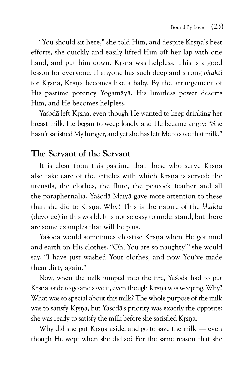"You should sit here," she told Him, and despite Krsna's best efforts, she quickly and easily lifted Him off her lap with one hand, and put him down. Krsna was helpless. This is a good lesson for everyone. If anyone has such deep and strong *bhakti* for Krsna, Krsna becomes like a baby. By the arrangement of His pastime potency Yogamäyä, His limitless power deserts Him, and He becomes helpless.

Yasodā left Krsna, even though He wanted to keep drinking her breast milk. He began to weep loudly and He became angry: "She hasn't satisfied My hunger, and yet she has left Me to save that milk."

#### **The Servant of the Servant**

It is clear from this pastime that those who serve Krsna also take care of the articles with which Krsna is served: the utensils, the clothes, the flute, the peacock feather and all the paraphernalia. Yaçodä Maiyä gave more attention to these than she did to Kåñëa. Why? This is the nature of the *bhakta* (devotee) in this world. It is not so easy to understand, but there are some examples that will help us.

Yasodā would sometimes chastise Krsna when He got mud and earth on His clothes. "Oh, You are so naughty!" she would say. "I have just washed Your clothes, and now You've made them dirty again."

Now, when the milk jumped into the fire, Yaçodä had to put Krsna aside to go and save it, even though Krsna was weeping. Why? What was so special about this milk? The whole purpose of the milk was to satisfy Krsna, but Yasoda's priority was exactly the opposite: she was ready to satisfy the milk before she satisfied Krsna.

Why did she put Krsna aside, and go to save the milk — even though He wept when she did so? For the same reason that she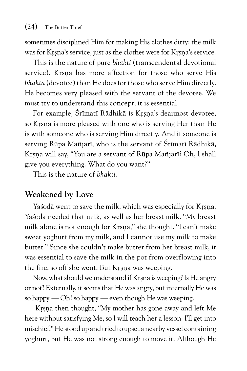sometimes disciplined Him for making His clothes dirty: the milk was for Krsna's service, just as the clothes were for Krsna's service.

This is the nature of pure *bhakti* (transcendental devotional service). Krsna has more affection for those who serve His *bhakta* (devotee) than He does for those who serve Him directly. He becomes very pleased with the servant of the devotee. We must try to understand this concept; it is essential.

For example, Śrīmatī Rādhikā is Krsna's dearmost devotee, so Krsna is more pleased with one who is serving Her than He is with someone who is serving Him directly. And if someone is serving Rūpa Mañjarī, who is the servant of Śrīmatī Rādhikā, Krsna will say, "You are a servant of Rūpa Mañjarī? Oh, I shall give you everything. What do you want?"

This is the nature of *bhakti*.

#### **Weakened by Love**

Yasodā went to save the milk, which was especially for Krsna. Yaçodä needed that milk, as well as her breast milk. "My breast milk alone is not enough for Krsna," she thought. "I can't make sweet yoghurt from my milk, and I cannot use my milk to make butter." Since she couldn't make butter from her breast milk, it was essential to save the milk in the pot from overflowing into the fire, so off she went. But Krsna was weeping.

Now, what should we understand if Krsna is weeping? Is He angry or not? Externally, it seems that He was angry, but internally He was so happy — Oh! so happy — even though He was weeping.

Krsna then thought, "My mother has gone away and left Me here without satisfying Me, so I will teach her a lesson. I'll get into mischief." He stood up and tried to upset a nearby vessel containing yoghurt, but He was not strong enough to move it. Although He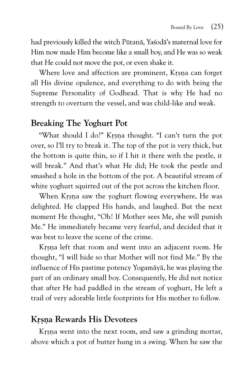had previously killed the witch Pütanä, Yaçodä's maternal love for Him now made Him become like a small boy, and He was so weak that He could not move the pot, or even shake it.

Where love and affection are prominent, Krsna can forget all His divine opulence, and everything to do with being the Supreme Personality of Godhead. That is why He had no strength to overturn the vessel, and was child-like and weak.

#### **Breaking The Yoghurt Pot**

"What should I do?" Krsna thought. "I can't turn the pot over, so I'll try to break it. The top of the pot is very thick, but the bottom is quite thin, so if I hit it there with the pestle, it will break." And that's what He did; He took the pestle and smashed a hole in the bottom of the pot. A beautiful stream of white yoghurt squirted out of the pot across the kitchen floor.

When Krsna saw the yoghurt flowing everywhere, He was delighted. He clapped His hands, and laughed. But the next moment He thought, "Oh! If Mother sees Me, she will punish Me." He immediately became very fearful, and decided that it was best to leave the scene of the crime.

Krsna left that room and went into an adjacent room. He thought, "I will hide so that Mother will not find Me." By the influence of His pastime potency Yogamäyä, he was playing the part of an ordinary small boy. Consequently, He did not notice that after He had paddled in the stream of yoghurt, He left a trail of very adorable little footprints for His mother to follow.

#### **Kåñëa Rewards His Devotees**

Krsna went into the next room, and saw a grinding mortar, above which a pot of butter hung in a swing. When he saw the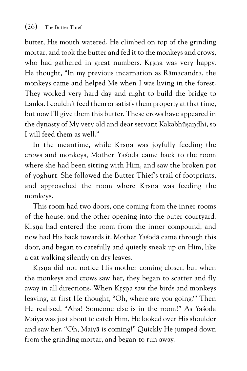butter, His mouth watered. He climbed on top of the grinding mortar, and took the butter and fed it to the monkeys and crows, who had gathered in great numbers. Krsna was very happy. He thought, "In my previous incarnation as Rämacandra, the monkeys came and helped Me when I was living in the forest. They worked very hard day and night to build the bridge to Lanka. I couldn't feed them or satisfy them properly at that time, but now I'll give them this butter. These crows have appeared in the dynasty of My very old and dear servant Kakabhūsandhi, so I will feed them as well."

In the meantime, while Krsna was joyfully feeding the crows and monkeys, Mother Yaçodä came back to the room where she had been sitting with Him, and saw the broken pot of yoghurt. She followed the Butter Thief's trail of footprints, and approached the room where Krsna was feeding the monkeys.

This room had two doors, one coming from the inner rooms of the house, and the other opening into the outer courtyard. Krsna had entered the room from the inner compound, and now had His back towards it. Mother Yaçodä came through this door, and began to carefully and quietly sneak up on Him, like a cat walking silently on dry leaves.

Krsna did not notice His mother coming closer, but when the monkeys and crows saw her, they began to scatter and fly away in all directions. When Krsna saw the birds and monkeys leaving, at first He thought, "Oh, where are you going?" Then He realised, "Aha! Someone else is in the room!" As Yaçodä Maiyä was just about to catch Him, He looked over His shoulder and saw her. "Oh, Maiyä is coming!" Quickly He jumped down from the grinding mortar, and began to run away.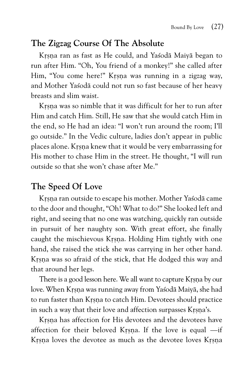#### **The Zigzag Course Of The Absolute**

Krsna ran as fast as He could, and Yasodā Maiyā began to run after Him. "Oh, You friend of a monkey!" she called after Him, "You come here!" Krsna was running in a zigzag way, and Mother Yaçodä could not run so fast because of her heavy breasts and slim waist.

Krsna was so nimble that it was difficult for her to run after Him and catch Him. Still, He saw that she would catch Him in the end, so He had an idea: "I won't run around the room; I'll go outside." In the Vedic culture, ladies don't appear in public places alone. Krsna knew that it would be very embarrassing for His mother to chase Him in the street. He thought, "I will run outside so that she won't chase after Me."

#### **The Speed Of Love**

Krsna ran outside to escape his mother. Mother Yasodā came to the door and thought, "Oh! What to do?" She looked left and right, and seeing that no one was watching, quickly ran outside in pursuit of her naughty son. With great effort, she finally caught the mischievous Krsna. Holding Him tightly with one hand, she raised the stick she was carrying in her other hand. Krsna was so afraid of the stick, that He dodged this way and that around her legs.

There is a good lesson here. We all want to capture Krsna by our love. When Krsna was running away from Yasodā Maiyā, she had to run faster than Krsna to catch Him. Devotees should practice in such a way that their love and affection surpasses Krsna's.

Krsna has affection for His devotees and the devotees have affection for their beloved Krsna. If the love is equal  $\rightarrow$ if Krsna loves the devotee as much as the devotee loves Krsna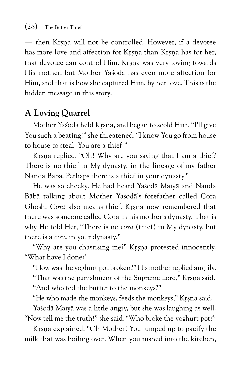— then Krsna will not be controlled. However, if a devotee has more love and affection for Krsna than Krsna has for her, that devotee can control Him. Krsna was very loving towards His mother, but Mother Yaçodä has even more affection for Him, and that is how she captured Him, by her love. This is the hidden message in this story.

#### **A Loving Quarrel**

Mother Yasodā held Krsna, and began to scold Him. "I'll give You such a beating!" she threatened. "I know You go from house to house to steal. You are a thief!"

Krsna replied, "Oh! Why are you saying that I am a thief? There is no thief in My dynasty, in the lineage of my father Nanda Bäbä. Perhaps there is a thief in your dynasty."

He was so cheeky. He had heard Yaçodä Maiyä and Nanda Bäbä talking about Mother Yaçodä's forefather called Cora Ghosh. *Cora* also means thief. Krsna now remembered that there was someone called Cora in his mother's dynasty. That is why He told Her, "There is no *cora* (thief) in My dynasty, but there is a *cora* in your dynasty."

"Why are you chastising me?" Krsna protested innocently. "What have I done?"

"How was the yoghurt pot broken?" His mother replied angrily.

"That was the punishment of the Supreme Lord," Krsna said.

"And who fed the butter to the monkeys?"

"He who made the monkeys, feeds the monkeys," Krsna said.

Yaśodā Maiyā was a little angry, but she was laughing as well. "Now tell me the truth!" she said. "Who broke the yoghurt pot?"

Krsna explained, "Oh Mother! You jumped up to pacify the milk that was boiling over. When you rushed into the kitchen,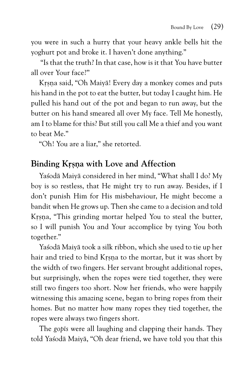you were in such a hurry that your heavy ankle bells hit the yoghurt pot and broke it. I haven't done anything."

 "Is that the truth? In that case, how is it that You have butter all over Your face?"

Krsna said, "Oh Maiyā! Every day a monkey comes and puts his hand in the pot to eat the butter, but today I caught him. He pulled his hand out of the pot and began to run away, but the butter on his hand smeared all over My face. Tell Me honestly, am I to blame for this? But still you call Me a thief and you want to beat Me."

"Oh! You are a liar," she retorted.

#### **Binding Krsna with Love and Affection**

Yaçodä Maiyä considered in her mind, "What shall I do? My boy is so restless, that He might try to run away. Besides, if I don't punish Him for His misbehaviour, He might become a bandit when He grows up. Then she came to a decision and told Krsna, "This grinding mortar helped You to steal the butter, so I will punish You and Your accomplice by tying You both together."

Yaçodä Maiyä took a silk ribbon, which she used to tie up her hair and tried to bind Krsna to the mortar, but it was short by the width of two fingers. Her servant brought additional ropes, but surprisingly, when the ropes were tied together, they were still two fingers too short. Now her friends, who were happily witnessing this amazing scene, began to bring ropes from their homes. But no matter how many ropes they tied together, the ropes were always two fingers short.

The *gopés* were all laughing and clapping their hands. They told Yaçodä Maiyä, "Oh dear friend, we have told you that this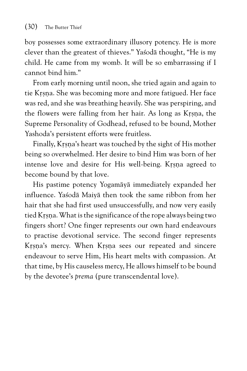boy possesses some extraordinary illusory potency. He is more clever than the greatest of thieves." Yaçodä thought, "He is my child. He came from my womb. It will be so embarrassing if I cannot bind him."

From early morning until noon, she tried again and again to tie Krsna. She was becoming more and more fatigued. Her face was red, and she was breathing heavily. She was perspiring, and the flowers were falling from her hair. As long as Krsna, the Supreme Personality of Godhead, refused to be bound, Mother Yashoda's persistent efforts were fruitless.

Finally, Krsna's heart was touched by the sight of His mother being so overwhelmed. Her desire to bind Him was born of her intense love and desire for His well-being. Krsna agreed to become bound by that love.

His pastime potency Yogamäyä immediately expanded her influence. Yaçodä Maiyä then took the same ribbon from her hair that she had first used unsuccessfully, and now very easily tied Krsna. What is the significance of the rope always being two fingers short? One finger represents our own hard endeavours to practise devotional service. The second finger represents Krsna's mercy. When Krsna sees our repeated and sincere endeavour to serve Him, His heart melts with compassion. At that time, by His causeless mercy, He allows himself to be bound by the devotee's *prema* (pure transcendental love).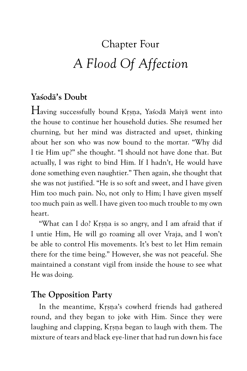# Chapter Four *A Flood Of Affection*

#### **Yaçodä's Doubt**

Having successfully bound Krsna, Yasodā Maiyā went into the house to continue her household duties. She resumed her churning, but her mind was distracted and upset, thinking about her son who was now bound to the mortar. "Why did I tie Him up?" she thought. "I should not have done that. But actually, I was right to bind Him. If I hadn't, He would have done something even naughtier." Then again, she thought that she was not justified. "He is so soft and sweet, and I have given Him too much pain. No, not only to Him; I have given myself too much pain as well. I have given too much trouble to my own heart.

"What can I do? Krsna is so angry, and I am afraid that if I untie Him, He will go roaming all over Vraja, and I won't be able to control His movements. It's best to let Him remain there for the time being." However, she was not peaceful. She maintained a constant vigil from inside the house to see what He was doing.

#### **The Opposition Party**

In the meantime, Krsna's cowherd friends had gathered round, and they began to joke with Him. Since they were laughing and clapping, Krsna began to laugh with them. The mixture of tears and black eye-liner that had run down his face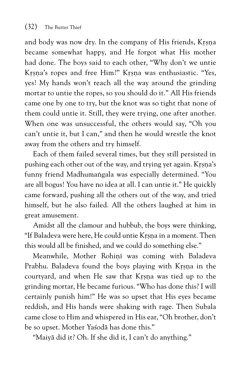and body was now dry. In the company of His friends, Krsna became somewhat happy, and He forgot what His mother had done. The boys said to each other, "Why don't we untie Krsna's ropes and free Him?" Krsna was enthusiastic. "Yes, yes! My hands won't reach all the way around the grinding mortar to untie the ropes, so you should do it." All His friends came one by one to try, but the knot was so tight that none of them could untie it. Still, they were trying, one after another. When one was unsuccessful, the others would say, "Oh you can't untie it, but I can," and then he would wrestle the knot away from the others and try himself.

Each of them failed several times, but they still persisted in pushing each other out of the way, and trying yet again. Krsna's funny friend Madhumangala was especially determined. "You are all bogus! You have no idea at all. I can untie it." He quickly came forward, pushing all the others out of the way, and tried himself, but he also failed. All the others laughed at him in great amusement.

Amidst all the clamour and hubbub, the boys were thinking, "If Baladeva were here, He could untie Krsna in a moment. Then this would all be finished, and we could do something else."

Meanwhile, Mother Rohini was coming with Baladeva Prabhu. Baladeva found the boys playing with Krsna in the courtyard, and when He saw that Krsna was tied up to the grinding mortar, He became furious. "Who has done this? I will certainly punish him!" He was so upset that His eyes became reddish, and His hands were shaking with rage. Then Subala came close to Him and whispered in His ear, "Oh brother, don't be so upset. Mother Yaçodä has done this."

"Maiyä did it? Oh. If she did it, I can't do anything."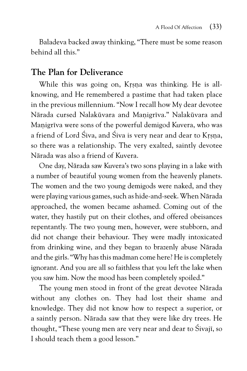Baladeva backed away thinking, "There must be some reason behind all this."

#### **The Plan for Deliverance**

While this was going on, Krsna was thinking. He is allknowing, and He remembered a pastime that had taken place in the previous millennium. "Now I recall how My dear devotee Nārada cursed Nalakūvara and Manigrīva." Nalakūvara and Manigriya were sons of the powerful demigod Kuvera, who was a friend of Lord Śiva, and Śiva is very near and dear to Krsna, so there was a relationship. The very exalted, saintly devotee Närada was also a friend of Kuvera.

One day, Närada saw Kuvera's two sons playing in a lake with a number of beautiful young women from the heavenly planets. The women and the two young demigods were naked, and they were playing various games, such as hide-and-seek. When Närada approached, the women became ashamed. Coming out of the water, they hastily put on their clothes, and offered obeisances repentantly. The two young men, however, were stubborn, and did not change their behaviour. They were madly intoxicated from drinking wine, and they began to brazenly abuse Närada and the girls. "Why has this madman come here? He is completely ignorant. And you are all so faithless that you left the lake when you saw him. Now the mood has been completely spoiled."

The young men stood in front of the great devotee Närada without any clothes on. They had lost their shame and knowledge. They did not know how to respect a superior, or a saintly person. Närada saw that they were like dry trees. He thought, "These young men are very near and dear to Śivajī, so I should teach them a good lesson."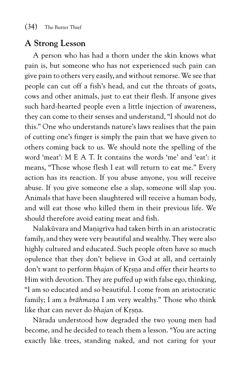#### **A Strong Lesson**

A person who has had a thorn under the skin knows what pain is, but someone who has not experienced such pain can give pain to others very easily, and without remorse. We see that people can cut off a fish's head, and cut the throats of goats, cows and other animals, just to eat their flesh. If anyone gives such hard-hearted people even a little injection of awareness, they can come to their senses and understand, "I should not do this." One who understands nature's laws realises that the pain of cutting one's finger is simply the pain that we have given to others coming back to us. We should note the spelling of the word 'meat': M E A T. It contains the words 'me' and 'eat': it means, "Those whose flesh I eat will return to eat me." Every action has its reaction. If you abuse anyone, you will receive abuse. If you give someone else a slap, someone will slap you. Animals that have been slaughtered will receive a human body, and will eat those who killed them in their previous life. We should therefore avoid eating meat and fish.

Nalakūvara and Manigrīva had taken birth in an aristocratic family, and they were very beautiful and wealthy. They were also highly cultured and educated. Such people often have so much opulence that they don't believe in God at all, and certainly don't want to perform *bhajan* of Krsna and offer their hearts to Him with devotion. They are puffed up with false ego, thinking, "I am so educated and so beautiful. I come from an aristocratic family; I am a *brāhmana* I am very wealthy." Those who think like that can never do *bhajan* of Krsna.

Närada understood how degraded the two young men had become, and he decided to teach them a lesson. "You are acting exactly like trees, standing naked, and not caring for your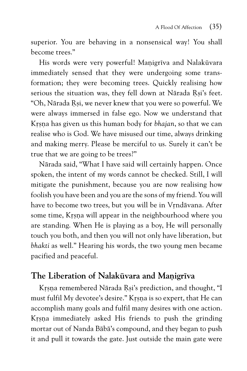superior. You are behaving in a nonsensical way! You shall become trees."

His words were very powerful! Manigriva and Nalakūvara immediately sensed that they were undergoing some transformation; they were becoming trees. Quickly realising how serious the situation was, they fell down at Nārada Rsi's feet. "Oh, Nārada Rsi, we never knew that you were so powerful. We were always immersed in false ego. Now we understand that Krsna has given us this human body for *bhajan*, so that we can realise who is God. We have misused our time, always drinking and making merry. Please be merciful to us. Surely it can't be true that we are going to be trees?"

Närada said, "What I have said will certainly happen. Once spoken, the intent of my words cannot be checked. Still, I will mitigate the punishment, because you are now realising how foolish you have been and you are the sons of my friend. You will have to become two trees, but you will be in Vrndāvana. After some time, Krsna will appear in the neighbourhood where you are standing. When He is playing as a boy, He will personally touch you both, and then you will not only have liberation, but *bhakti* as well." Hearing his words, the two young men became pacified and peaceful.

#### **The Liberation of Nalakūvara and Manigrīva**

Krsna remembered Nārada Rsi's prediction, and thought, "I must fulfil My devotee's desire." Krsna is so expert, that He can accomplish many goals and fulfil many desires with one action. Krsna immediately asked His friends to push the grinding mortar out of Nanda Bäbä's compound, and they began to push it and pull it towards the gate. Just outside the main gate were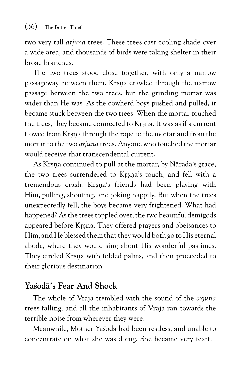two very tall *arjuna* trees. These trees cast cooling shade over a wide area, and thousands of birds were taking shelter in their broad branches.

The two trees stood close together, with only a narrow passageway between them. Krsna crawled through the narrow passage between the two trees, but the grinding mortar was wider than He was. As the cowherd boys pushed and pulled, it became stuck between the two trees. When the mortar touched the trees, they became connected to Krsna. It was as if a current flowed from Krsna through the rope to the mortar and from the mortar to the two *arjuna* trees. Anyone who touched the mortar would receive that transcendental current.

As Krsna continued to pull at the mortar, by Nārada's grace, the two trees surrendered to Krsna's touch, and fell with a tremendous crash. Krsna's friends had been playing with Him, pulling, shouting, and joking happily. But when the trees unexpectedly fell, the boys became very frightened. What had happened? As the trees toppled over, the two beautiful demigods appeared before Krsna. They offered prayers and obeisances to Him, and He blessed them that they would both go to His eternal abode, where they would sing about His wonderful pastimes. They circled Krsna with folded palms, and then proceeded to their glorious destination.

#### **Yaçodä's Fear And Shock**

The whole of Vraja trembled with the sound of the *arjuna* trees falling, and all the inhabitants of Vraja ran towards the terrible noise from wherever they were.

Meanwhile, Mother Yaçodä had been restless, and unable to concentrate on what she was doing. She became very fearful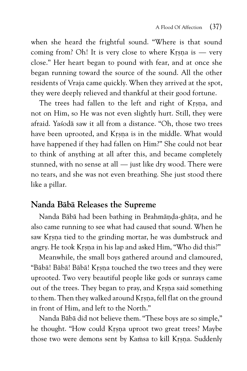when she heard the frightful sound. "Where is that sound coming from? Oh! It is very close to where Krsna is  $-$  very close." Her heart began to pound with fear, and at once she began running toward the source of the sound. All the other residents of Vraja came quickly. When they arrived at the spot, they were deeply relieved and thankful at their good fortune.

The trees had fallen to the left and right of Krsna, and not on Him, so He was not even slightly hurt. Still, they were afraid. Yaçodä saw it all from a distance. "Oh, those two trees have been uprooted, and Krsna is in the middle. What would have happened if they had fallen on Him?" She could not bear to think of anything at all after this, and became completely stunned, with no sense at all — just like dry wood. There were no tears, and she was not even breathing. She just stood there like a pillar.

#### **Nanda Bäbä Releases the Supreme**

Nanda Bābā had been bathing in Brahmānda-ghāta, and he also came running to see what had caused that sound. When he saw Krsna tied to the grinding mortar, he was dumbstruck and angry. He took Krsna in his lap and asked Him, "Who did this?"

Meanwhile, the small boys gathered around and clamoured, "Bābā! Bābā! Bābā! Krsna touched the two trees and they were uprooted. Two very beautiful people like gods or sunrays came out of the trees. They began to pray, and Krsna said something to them. Then they walked around Krsna, fell flat on the ground in front of Him, and left to the North."

Nanda Bäbä did not believe them. "These boys are so simple," he thought. "How could Krsna uproot two great trees? Maybe those two were demons sent by Kamsa to kill Krsna. Suddenly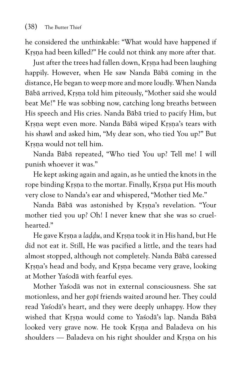he considered the unthinkable: "What would have happened if Krsna had been killed?" He could not think any more after that.

Just after the trees had fallen down, Krsna had been laughing happily. However, when He saw Nanda Bäbä coming in the distance, He began to weep more and more loudly. When Nanda Bābā arrived, Krsna told him piteously, "Mother said she would beat Me!" He was sobbing now, catching long breaths between His speech and His cries. Nanda Bäbä tried to pacify Him, but Krsna wept even more. Nanda Bābā wiped Krsna's tears with his shawl and asked him, "My dear son, who tied You up?" But Krsna would not tell him.

Nanda Bäbä repeated, "Who tied You up? Tell me! I will punish whoever it was."

He kept asking again and again, as he untied the knots in the rope binding Krsna to the mortar. Finally, Krsna put His mouth very close to Nanda's ear and whispered, "Mother tied Me."

Nanda Bābā was astonished by Krsna's revelation. "Your mother tied you up? Oh! I never knew that she was so cruelhearted."

He gave Krsna a *laddu*, and Krsna took it in His hand, but He did not eat it. Still, He was pacified a little, and the tears had almost stopped, although not completely. Nanda Bäbä caressed Krsna's head and body, and Krsna became very grave, looking at Mother Yaçodä with fearful eyes.

Mother Yaçodä was not in external consciousness. She sat motionless, and her *gopé* friends waited around her. They could read Yasoda's heart, and they were deeply unhappy. How they wished that Krsna would come to Yasodā's lap. Nanda Bābā looked very grave now. He took Krsna and Baladeva on his shoulders — Baladeva on his right shoulder and Krsna on his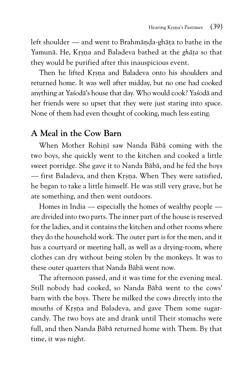left shoulder  $-$  and went to Brahmända-ghäta to bathe in the Yamunā. He, Krsna and Baladeva bathed at the *ghāta* so that they would be purified after this inauspicious event.

Then he lifted Krsna and Baladeva onto his shoulders and returned home. It was well after midday, but no one had cooked anything at Yaçodä's house that day. Who would cook? Yaçodä and her friends were so upset that they were just staring into space. None of them had even thought of cooking, much less eating.

#### **A Meal in the Cow Barn**

When Mother Rohini saw Nanda Bābā coming with the two boys, she quickly went to the kitchen and cooked a little sweet porridge. She gave it to Nanda Bäbä, and he fed the boys — first Baladeva, and then Krsna. When They were satisfied, he began to take a little himself. He was still very grave, but he ate something, and then went outdoors.

Homes in India — especially the homes of wealthy people are divided into two parts. The inner part of the house is reserved for the ladies, and it contains the kitchen and other rooms where they do the household work. The outer part is for the men, and it has a courtyard or meeting hall, as well as a drying-room, where clothes can dry without being stolen by the monkeys. It was to these outer quarters that Nanda Bäbä went now.

The afternoon passed, and it was time for the evening meal. Still nobody had cooked, so Nanda Bäbä went to the cows' barn with the boys. There he milked the cows directly into the mouths of Krsna and Baladeva, and gave Them some sugarcandy. The two boys ate and drank until Their stomachs were full, and then Nanda Bäbä returned home with Them. By that time, it was night.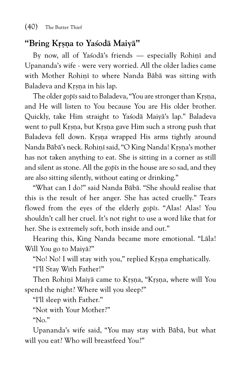#### **"Bring Kåñëa to Yaçodä Maiyä"**

By now, all of Yasoda's friends — especially Rohini and Upananda's wife - were very worried. All the older ladies came with Mother Rohini to where Nanda Bābā was sitting with Baladeva and Krsna in his lap.

The older *gop* is said to Baladeva, "You are stronger than Krsna, and He will listen to You because You are His older brother. Quickly, take Him straight to Yaçodä Maiyä's lap." Baladeva went to pull Krsna, but Krsna gave Him such a strong push that Baladeva fell down. Krsna wrapped His arms tightly around Nanda Bābā's neck. Rohinī said, "O King Nanda! Krsna's mother has not taken anything to eat. She is sitting in a corner as still and silent as stone. All the *gopés* in the house are so sad, and they are also sitting silently, without eating or drinking."

"What can I do?" said Nanda Bäbä. "She should realise that this is the result of her anger. She has acted cruelly." Tears flowed from the eyes of the elderly *gopts*. "Alas! Alas! You shouldn't call her cruel. It's not right to use a word like that for her. She is extremely soft, both inside and out."

Hearing this, King Nanda became more emotional. "Läla! Will You go to Maiyä?"

"No! No! I will stay with you," replied Krsna emphatically. "I'll Stay With Father!"

Then Rohinī Maiyā came to Krsna, "Krsna, where will You spend the night? Where will you sleep?"

"I'll sleep with Father."

"Not with Your Mother?"

"No."

Upananda's wife said, "You may stay with Bäbä, but what will you eat? Who will breastfeed You?"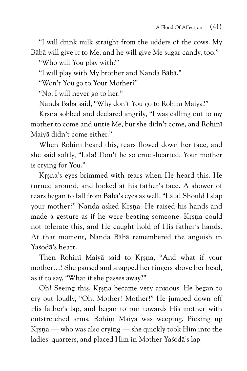"I will drink milk straight from the udders of the cows. My Bäbä will give it to Me, and he will give Me sugar candy, too."

"Who will You play with?"

"I will play with My brother and Nanda Bäbä."

"Won't You go to Your Mother?"

"No, I will never go to her."

Nanda Bābā said, "Why don't You go to Rohinī Maiyā?"

Krsna sobbed and declared angrily, "I was calling out to my mother to come and untie Me, but she didn't come, and Rohini Maiyä didn't come either."

When Rohinī heard this, tears flowed down her face, and she said softly, "Läla! Don't be so cruel-hearted. Your mother is crying for You."

Krsna's eyes brimmed with tears when He heard this. He turned around, and looked at his father's face. A shower of tears began to fall from Bäbä's eyes as well. "Läla! Should I slap your mother?" Nanda asked Krsna. He raised his hands and made a gesture as if he were beating someone. Krsna could not tolerate this, and He caught hold of His father's hands. At that moment, Nanda Bäbä remembered the anguish in Yaçodä's heart.

Then Rohini Maiya said to Krsna, "And what if your mother…? She paused and snapped her fingers above her head, as if to say, "What if she passes away?"

Oh! Seeing this, Krsna became very anxious. He began to cry out loudly, "Oh, Mother! Mother!" He jumped down off His father's lap, and began to run towards His mother with outstretched arms. Rohinī Maiyā was weeping. Picking up Krsna — who was also crying — she quickly took Him into the ladies' quarters, and placed Him in Mother Yaçodä's lap.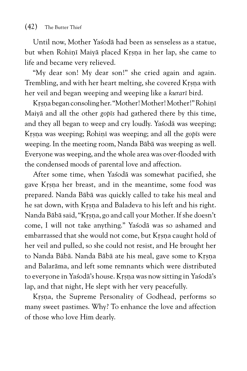Until now, Mother Yaçodä had been as senseless as a statue, but when Rohini Maiyā placed Krsna in her lap, she came to life and became very relieved.

"My dear son! My dear son!" she cried again and again. Trembling, and with her heart melting, she covered Krsna with her veil and began weeping and weeping like a *kuraré* bird.

Krsna began consoling her. "Mother! Mother! Mother!" Rohinī Maiyä and all the other *gopés* had gathered there by this time, and they all began to weep and cry loudly. Yasoda was weeping; Krsna was weeping; Rohini was weeping; and all the *gop* is were weeping. In the meeting room, Nanda Bäbä was weeping as well. Everyone was weeping, and the whole area was over-flooded with the condensed moods of parental love and affection.

After some time, when Yasoda was somewhat pacified, she gave Krsna her breast, and in the meantime, some food was prepared. Nanda Bäbä was quickly called to take his meal and he sat down, with Krsna and Baladeva to his left and his right. Nanda Bābā said, "Krsna, go and call your Mother. If she doesn't come, I will not take anything." Yaçodä was so ashamed and embarrassed that she would not come, but Krsna caught hold of her veil and pulled, so she could not resist, and He brought her to Nanda Bābā. Nanda Bābā ate his meal, gave some to Krsna and Balaräma, and left some remnants which were distributed to everyone in Yasodā's house. Krsna was now sitting in Yasodā's lap, and that night, He slept with her very peacefully.

Krsna, the Supreme Personality of Godhead, performs so many sweet pastimes. Why? To enhance the love and affection of those who love Him dearly.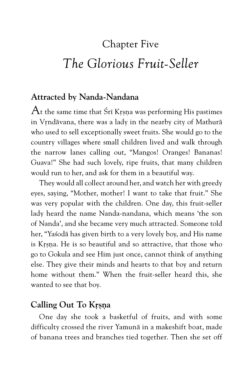# Chapter Five *The Glorious Fruit-Seller*

#### **Attracted by Nanda-Nandana**

 $A$ t the same time that Śrī Krsna was performing His pastimes in Vrndāvana, there was a lady in the nearby city of Mathurā who used to sell exceptionally sweet fruits. She would go to the country villages where small children lived and walk through the narrow lanes calling out, "Mangos! Oranges! Bananas! Guava!" She had such lovely, ripe fruits, that many children would run to her, and ask for them in a beautiful way.

They would all collect around her, and watch her with greedy eyes, saying, "Mother, mother! I want to take that fruit." She was very popular with the children. One day, this fruit-seller lady heard the name Nanda-nandana, which means 'the son of Nanda', and she became very much attracted. Someone told her, "Yaçodä has given birth to a very lovely boy, and His name is Krsna. He is so beautiful and so attractive, that those who go to Gokula and see Him just once, cannot think of anything else. They give their minds and hearts to that boy and return home without them." When the fruit-seller heard this, she wanted to see that boy.

#### **Calling Out To Krsna**

One day she took a basketful of fruits, and with some difficulty crossed the river Yamunä in a makeshift boat, made of banana trees and branches tied together. Then she set off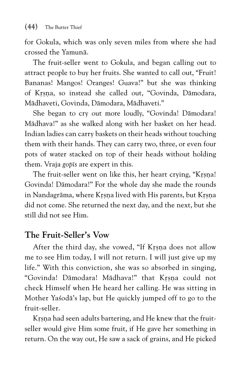for Gokula, which was only seven miles from where she had crossed the Yamunä.

The fruit-seller went to Gokula, and began calling out to attract people to buy her fruits. She wanted to call out, "Fruit! Bananas! Mangos! Oranges! Guava!" but she was thinking of Kåñëa, so instead she called out, "Govinda, Dämodara, Mädhaveti, Govinda, Dämodara, Mädhaveti."

She began to cry out more loudly, "Govinda! Dämodara! Mädhava!" as she walked along with her basket on her head. Indian ladies can carry baskets on their heads without touching them with their hands. They can carry two, three, or even four pots of water stacked on top of their heads without holding them. Vraja *gopés* are expert in this.

The fruit-seller went on like this, her heart crying, "Krsna! Govinda! Dämodara!" For the whole day she made the rounds in Nandagrāma, where Krsna lived with His parents, but Krsna did not come. She returned the next day, and the next, but she still did not see Him.

#### **The Fruit-Seller's Vow**

After the third day, she vowed, "If Krsna does not allow me to see Him today, I will not return. I will just give up my life." With this conviction, she was so absorbed in singing, "Govinda! Dāmodara! Mādhava!" that Krsna could not check Himself when He heard her calling. He was sitting in Mother Yaçodä's lap, but He quickly jumped off to go to the fruit-seller.

Krsna had seen adults bartering, and He knew that the fruitseller would give Him some fruit, if He gave her something in return. On the way out, He saw a sack of grains, and He picked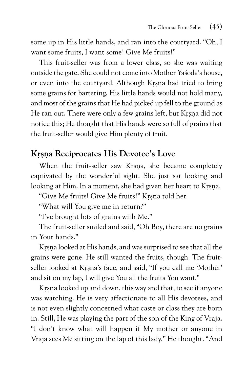some up in His little hands, and ran into the courtyard. "Oh, I want some fruits, I want some! Give Me fruits!"

This fruit-seller was from a lower class, so she was waiting outside the gate. She could not come into Mother Yaçodä's house, or even into the courtyard. Although Krsna had tried to bring some grains for bartering, His little hands would not hold many, and most of the grains that He had picked up fell to the ground as He ran out. There were only a few grains left, but Krsna did not notice this; He thought that His hands were so full of grains that the fruit-seller would give Him plenty of fruit.

#### Krsna Reciprocates His Devotee's Love

When the fruit-seller saw Krsna, she became completely captivated by the wonderful sight. She just sat looking and looking at Him. In a moment, she had given her heart to Krsna.

"Give Me fruits! Give Me fruits!" Krsna told her.

"What will You give me in return?"

"I've brought lots of grains with Me."

The fruit-seller smiled and said, "Oh Boy, there are no grains in Your hands."

Krsna looked at His hands, and was surprised to see that all the grains were gone. He still wanted the fruits, though. The fruitseller looked at Krsna's face, and said, "If you call me 'Mother' and sit on my lap, I will give You all the fruits You want."

Krsna looked up and down, this way and that, to see if anyone was watching. He is very affectionate to all His devotees, and is not even slightly concerned what caste or class they are born in. Still, He was playing the part of the son of the King of Vraja. "I don't know what will happen if My mother or anyone in Vraja sees Me sitting on the lap of this lady," He thought. "And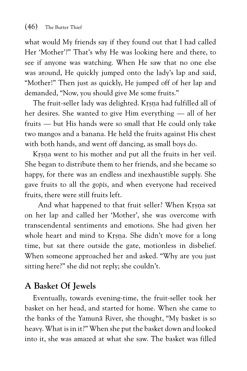what would My friends say if they found out that I had called Her 'Mother'?" That's why He was looking here and there, to see if anyone was watching. When He saw that no one else was around, He quickly jumped onto the lady's lap and said, "Mother!" Then just as quickly, He jumped off of her lap and demanded, "Now, you should give Me some fruits."

The fruit-seller lady was delighted. Krsna had fulfilled all of her desires. She wanted to give Him everything — all of her fruits — but His hands were so small that He could only take two mangos and a banana. He held the fruits against His chest with both hands, and went off dancing, as small boys do.

Krsna went to his mother and put all the fruits in her veil. She began to distribute them to her friends, and she became so happy, for there was an endless and inexhaustible supply. She gave fruits to all the *gopés*, and when everyone had received fruits, there were still fruits left.

And what happened to that fruit seller? When Krsna sat on her lap and called her 'Mother', she was overcome with transcendental sentiments and emotions. She had given her whole heart and mind to Krsna. She didn't move for a long time, but sat there outside the gate, motionless in disbelief. When someone approached her and asked. "Why are you just sitting here?" she did not reply; she couldn't.

#### **A Basket Of Jewels**

Eventually, towards evening-time, the fruit-seller took her basket on her head, and started for home. When she came to the banks of the Yamunä River, she thought, "My basket is so heavy. What is in it?" When she put the basket down and looked into it, she was amazed at what she saw. The basket was filled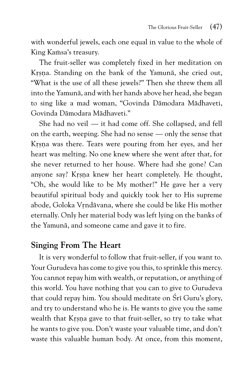with wonderful jewels, each one equal in value to the whole of King Kamsa's treasury.

The fruit-seller was completely fixed in her meditation on Krsna. Standing on the bank of the Yamuna, she cried out, "What is the use of all these jewels?" Then she threw them all into the Yamunä, and with her hands above her head, she began to sing like a mad woman, "Govinda Dämodara Mädhaveti, Govinda Dämodara Mädhaveti."

She had no veil — it had come off. She collapsed, and fell on the earth, weeping. She had no sense — only the sense that Krsna was there. Tears were pouring from her eyes, and her heart was melting. No one knew where she went after that, for she never returned to her house. Where had she gone? Can anyone say? Krsna knew her heart completely. He thought, "Oh, she would like to be My mother!" He gave her a very beautiful spiritual body and quickly took her to His supreme abode, Goloka Vrndāvana, where she could be like His mother eternally. Only her material body was left lying on the banks of the Yamunä, and someone came and gave it to fire.

#### **Singing From The Heart**

It is very wonderful to follow that fruit-seller, if you want to. Your Gurudeva has come to give you this, to sprinkle this mercy. You cannot repay him with wealth, or reputation, or anything of this world. You have nothing that you can to give to Gurudeva that could repay him. You should meditate on Śrī Guru's glory, and try to understand who he is. He wants to give you the same wealth that Krsna gave to that fruit-seller, so try to take what he wants to give you. Don't waste your valuable time, and don't waste this valuable human body. At once, from this moment,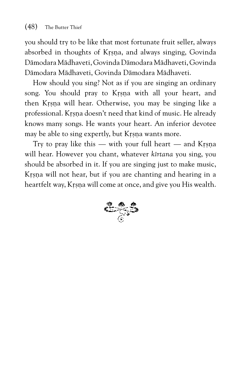you should try to be like that most fortunate fruit seller, always absorbed in thoughts of Krsna, and always singing, Govinda Dämodara Mädhaveti, Govinda Dämodara Mädhaveti, Govinda Dämodara Mädhaveti, Govinda Dämodara Mädhaveti.

How should you sing? Not as if you are singing an ordinary song. You should pray to Krsna with all your heart, and then Krsna will hear. Otherwise, you may be singing like a professional. Krsna doesn't need that kind of music. He already knows many songs. He wants your heart. An inferior devotee may be able to sing expertly, but Krsna wants more.

Try to pray like this  $-$  with your full heart  $-$  and Krsna will hear. However you chant, whatever *kértana* you sing, you should be absorbed in it. If you are singing just to make music, Krsna will not hear, but if you are chanting and hearing in a heartfelt way, Krsna will come at once, and give you His wealth.

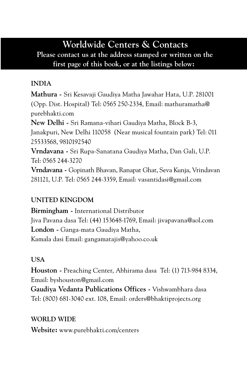### **Worldwide Centers & Contacts**

**Please contact us at the address stamped or written on the first page of this book, or at the listings below:**

#### **INDIA**

**Mathura -** Sri Kesavaji Gaudiya Matha Jawahar Hata, U.P. 281001 (Opp. Dist. Hospital) Tel: 0565 250-2334, Email: mathuramatha@ purebhakti.com

**New Delhi -** Sri Ramana-vihari Gaudiya Matha, Block B-3, Janakpuri, New Delhi 110058 (Near musical fountain park) Tel: 011 25533568, 9810192540

**Vrndavana -** Sri Rupa-Sanatana Gaudiya Matha, Dan Gali, U.P. Tel: 0565 244-3270

**Vrndavana -** Gopinath Bhavan, Ranapat Ghat, Seva Kunja, Vrindavan 281121, U.P. Tel: 0565 244-3359, Email: vasantidasi@gmail.com

#### **UNITED KINGDOM**

**Birmingham -** International Distributor Jiva Pavana dasa Tel: (44) 153648-1769, Email: jivapavana@aol.com **London -** Ganga-mata Gaudiya Matha, Kamala dasi Email: gangamatajis@yahoo.co.uk

#### **USA**

**Houston -** Preaching Center, Abhirama dasa Tel: (1) 713-984 8334, Email: byshouston@gmail.com

**Gaudiya Vedanta Publications Offices -** Vishwambhara dasa Tel: (800) 681-3040 ext. 108, Email: orders@bhaktiprojects.org

#### **WORLD WIDE**

**Website:** www.purebhakti.com/centers